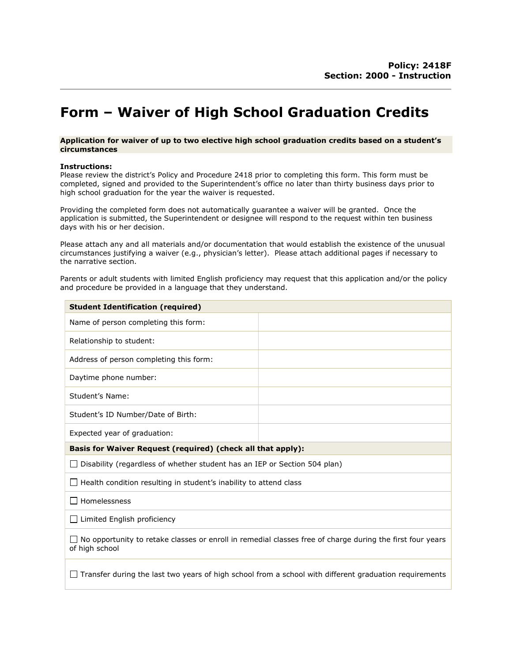# Form – Waiver of High School Graduation Credits

### Application for waiver of up to two elective high school graduation credits based on a student's circumstances

## Instructions:

Please review the district's Policy and Procedure 2418 prior to completing this form. This form must be completed, signed and provided to the Superintendent's office no later than thirty business days prior to high school graduation for the year the waiver is requested.

Providing the completed form does not automatically guarantee a waiver will be granted. Once the application is submitted, the Superintendent or designee will respond to the request within ten business days with his or her decision.

Please attach any and all materials and/or documentation that would establish the existence of the unusual circumstances justifying a waiver (e.g., physician's letter). Please attach additional pages if necessary to the narrative section.

Parents or adult students with limited English proficiency may request that this application and/or the policy and procedure be provided in a language that they understand.

| <b>Student Identification (required)</b>                                                                                    |  |  |
|-----------------------------------------------------------------------------------------------------------------------------|--|--|
| Name of person completing this form:                                                                                        |  |  |
| Relationship to student:                                                                                                    |  |  |
| Address of person completing this form:                                                                                     |  |  |
| Daytime phone number:                                                                                                       |  |  |
| Student's Name:                                                                                                             |  |  |
| Student's ID Number/Date of Birth:                                                                                          |  |  |
| Expected year of graduation:                                                                                                |  |  |
| Basis for Waiver Request (required) (check all that apply):                                                                 |  |  |
| $\Box$ Disability (regardless of whether student has an IEP or Section 504 plan)                                            |  |  |
| $\Box$ Health condition resulting in student's inability to attend class                                                    |  |  |
| Homelessness                                                                                                                |  |  |
| $\Box$ Limited English proficiency                                                                                          |  |  |
| No opportunity to retake classes or enroll in remedial classes free of charge during the first four years<br>of high school |  |  |
| Transfer during the last two years of high school from a school with different graduation requirements                      |  |  |